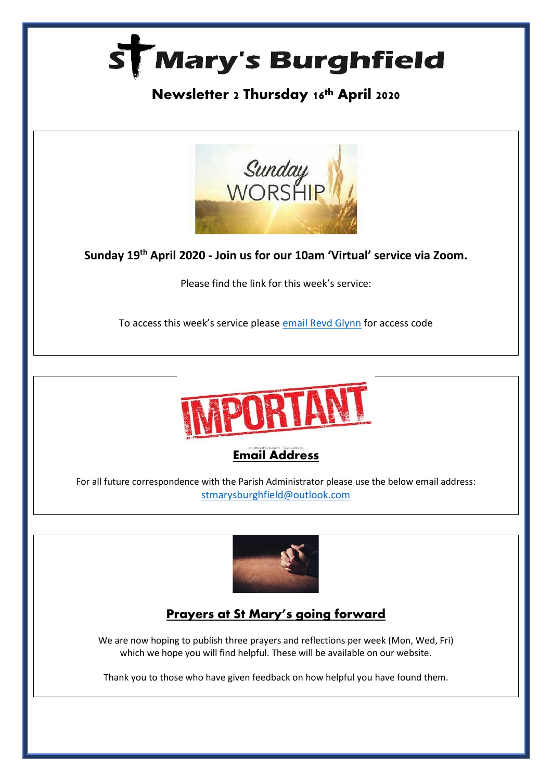

# **Newsletter 2 Thursday 16th April 2020**



**Sunday 19th April 2020 - Join us for our 10am 'Virtual' service via Zoom.**

Please find the link for this week's service:

To access this week's service please [email Revd Glynn](mailto:Revd%20Glynn%20Lautenbach%20%3cglynn.lautenbach@stmarysburghfield.org%3e?subject=Sunday%20service%20Zoom%20access%20code%20) for access code





For all future correspondence with the Parish Administrator please use the below email address: [stmarysburghfield@outlook.com](mailto:stmarysburghfield@outlook.com)



## **Prayers at St Mary's going forward**

We are now hoping to publish three prayers and reflections per week (Mon, Wed, Fri) which we hope you will find helpful. These will be available on our website.

Thank you to those who have given feedback on how helpful you have found them.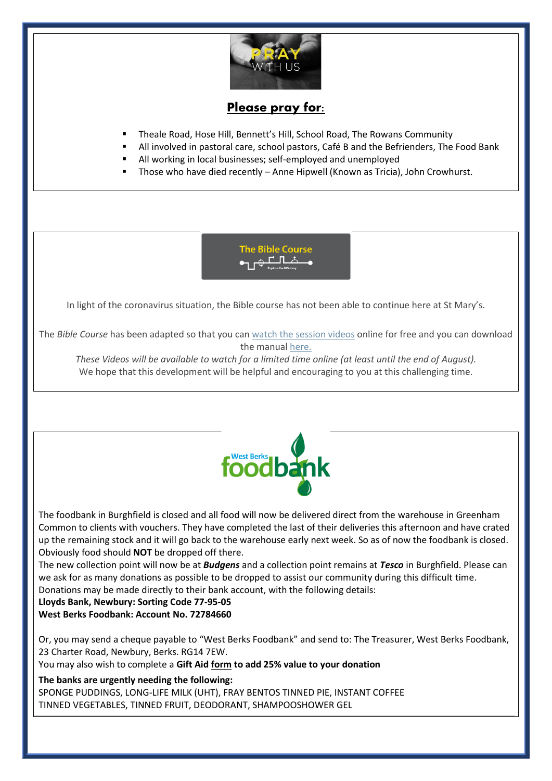

### Please pray for:

- Theale Road, Hose Hill, Bennett's Hill, School Road, The Rowans Community
- All involved in pastoral care, school pastors, Café B and the Befrienders, The Food Bank
- All working in local businesses; self-employed and unemployed
- Those who have died recently Anne Hipwell (Known as Tricia), John Crowhurst.



In light of the coronavirus situation, the Bible course has not been able to continue here at St Mary's.

The *Bible Course* has been adapted so that you can [watch the session videos](https://nam10.safelinks.protection.outlook.com/?url=https%3A%2F%2Fbiblesociety.cmail20.com%2Ft%2Fr-l-jhdukltd-ociikituu-y%2F&data=02%7C01%7C%7Cfd57895af51f4733569f08d7db934f7b%7C84df9e7fe9f640afb435aaaaaaaaaaaa%7C1%7C0%7C637219298040927676&sdata=0mtSFb%2FiBgKymiy5gKIQ5nx8eolQj7TI2g63ZPqCB%2BA%3D&reserved=0) online for free and you can download the manual [here.](https://nam10.safelinks.protection.outlook.com/?url=https%3A%2F%2Fbiblesociety.cmail20.com%2Ft%2Fr-l-jhdukltd-ociikituu-j%2F&data=02%7C01%7C%7Cfd57895af51f4733569f08d7db934f7b%7C84df9e7fe9f640afb435aaaaaaaaaaaa%7C1%7C0%7C637219298040927676&sdata=WfKTIQ1j87TpMkYLpyuIsrDYJDsve9t8g3WHUIFTMdk%3D&reserved=0)

These Videos will be available to watch for a limited time online (at least until the end of August). We hope that this development will be helpful and encouraging to you at this challenging time.



The foodbank in Burghfield is closed and all food will now be delivered direct from the warehouse in Greenham Common to clients with vouchers. They have completed the last of their deliveries this afternoon and have crated up the remaining stock and it will go back to the warehouse early next week. So as of now the foodbank is closed. Obviously food should **NOT** be dropped off there.

The new collection point will now be at *Budgens* and a collection point remains at *Tesco* in Burghfield. Please can we ask for as many donations as possible to be dropped to assist our community during this difficult time. Donations may be made directly to their bank account, with the following details:

**Lloyds Bank, Newbury: Sorting Code 77-95-05 West Berks Foodbank: Account No. 72784660**

Or, you may send a cheque payable to "West Berks Foodbank" and send to: The Treasurer, West Berks Foodbank, 23 Charter Road, Newbury, Berks. RG14 7EW.

You may also wish to complete a **Gift Aid [form](https://westberks.foodbank.org.uk/wp-content/uploads/sites/242/2015/06/9.2.R2-Template-Gift-Aid-Form_Sept-2019.docx) to add 25% value to your donation**

**The banks are urgently needing the following:**

• SPONGE PUDDINGS, LONG-LIFE MILK (UHT), FRAY BENTOS TINNED PIE, INSTANT COFFEE • TINNED VEGETABLES, TINNED FRUIT, DEODORANT, SHAMPOOSHOWER GEL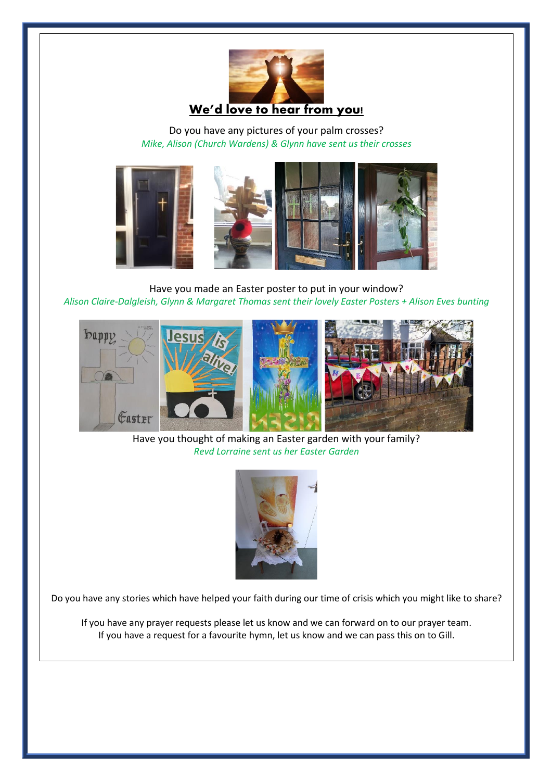

Do you have any pictures of your palm crosses? *Mike, Alison (Church Wardens) & Glynn have sent us their crosses*



Have you made an Easter poster to put in your window? *Alison Claire-Dalgleish, Glynn & Margaret Thomas sent their lovely Easter Posters + Alison Eves bunting*



Have you thought of making an Easter garden with your family? *Revd Lorraine sent us her Easter Garden* 



Do you have any stories which have helped your faith during our time of crisis which you might like to share?

If you have any prayer requests please let us know and we can forward on to our prayer team. If you have a request for a favourite hymn, let us know and we can pass this on to Gill.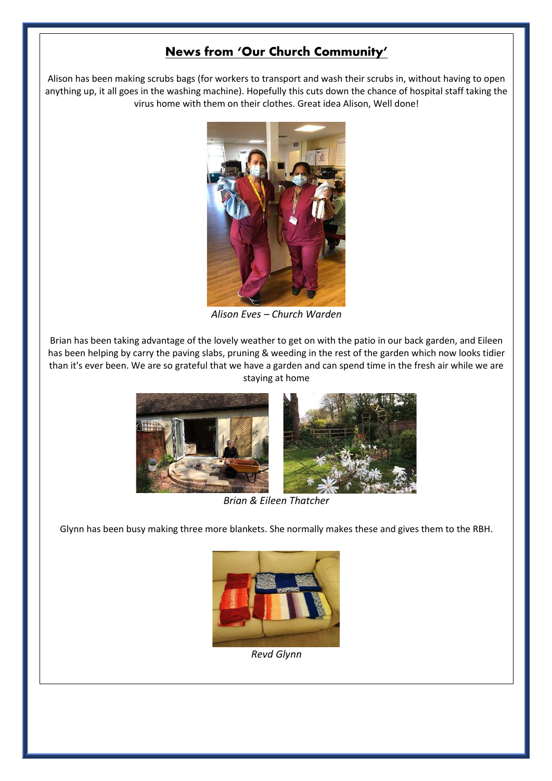#### **News from 'Our Church Community'**

Alison has been making scrubs bags (for workers to transport and wash their scrubs in, without having to open anything up, it all goes in the washing machine). Hopefully this cuts down the chance of hospital staff taking the virus home with them on their clothes. Great idea Alison, Well done!



*Alison Eves – Church Warden* 

Brian has been taking advantage of the lovely weather to get on with the patio in our back garden, and Eileen has been helping by carry the paving slabs, pruning & weeding in the rest of the garden which now looks tidier than it's ever been. We are so grateful that we have a garden and can spend time in the fresh air while we are staying at home



*Brian & Eileen Thatcher* 

Glynn has been busy making three more blankets. She normally makes these and gives them to the RBH.



*Revd Glynn*